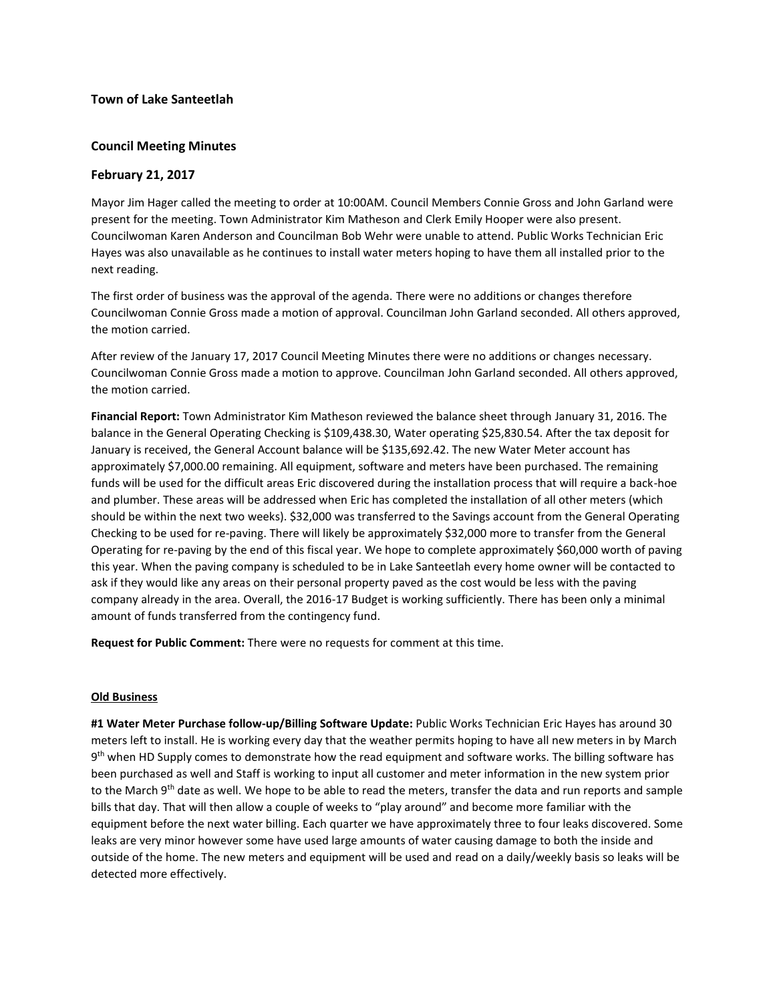## **Town of Lake Santeetlah**

# **Council Meeting Minutes**

## **February 21, 2017**

Mayor Jim Hager called the meeting to order at 10:00AM. Council Members Connie Gross and John Garland were present for the meeting. Town Administrator Kim Matheson and Clerk Emily Hooper were also present. Councilwoman Karen Anderson and Councilman Bob Wehr were unable to attend. Public Works Technician Eric Hayes was also unavailable as he continues to install water meters hoping to have them all installed prior to the next reading.

The first order of business was the approval of the agenda. There were no additions or changes therefore Councilwoman Connie Gross made a motion of approval. Councilman John Garland seconded. All others approved, the motion carried.

After review of the January 17, 2017 Council Meeting Minutes there were no additions or changes necessary. Councilwoman Connie Gross made a motion to approve. Councilman John Garland seconded. All others approved, the motion carried.

**Financial Report:** Town Administrator Kim Matheson reviewed the balance sheet through January 31, 2016. The balance in the General Operating Checking is \$109,438.30, Water operating \$25,830.54. After the tax deposit for January is received, the General Account balance will be \$135,692.42. The new Water Meter account has approximately \$7,000.00 remaining. All equipment, software and meters have been purchased. The remaining funds will be used for the difficult areas Eric discovered during the installation process that will require a back-hoe and plumber. These areas will be addressed when Eric has completed the installation of all other meters (which should be within the next two weeks). \$32,000 was transferred to the Savings account from the General Operating Checking to be used for re-paving. There will likely be approximately \$32,000 more to transfer from the General Operating for re-paving by the end of this fiscal year. We hope to complete approximately \$60,000 worth of paving this year. When the paving company is scheduled to be in Lake Santeetlah every home owner will be contacted to ask if they would like any areas on their personal property paved as the cost would be less with the paving company already in the area. Overall, the 2016-17 Budget is working sufficiently. There has been only a minimal amount of funds transferred from the contingency fund.

**Request for Public Comment:** There were no requests for comment at this time.

## **Old Business**

**#1 Water Meter Purchase follow-up/Billing Software Update:** Public Works Technician Eric Hayes has around 30 meters left to install. He is working every day that the weather permits hoping to have all new meters in by March 9<sup>th</sup> when HD Supply comes to demonstrate how the read equipment and software works. The billing software has been purchased as well and Staff is working to input all customer and meter information in the new system prior to the March 9<sup>th</sup> date as well. We hope to be able to read the meters, transfer the data and run reports and sample bills that day. That will then allow a couple of weeks to "play around" and become more familiar with the equipment before the next water billing. Each quarter we have approximately three to four leaks discovered. Some leaks are very minor however some have used large amounts of water causing damage to both the inside and outside of the home. The new meters and equipment will be used and read on a daily/weekly basis so leaks will be detected more effectively.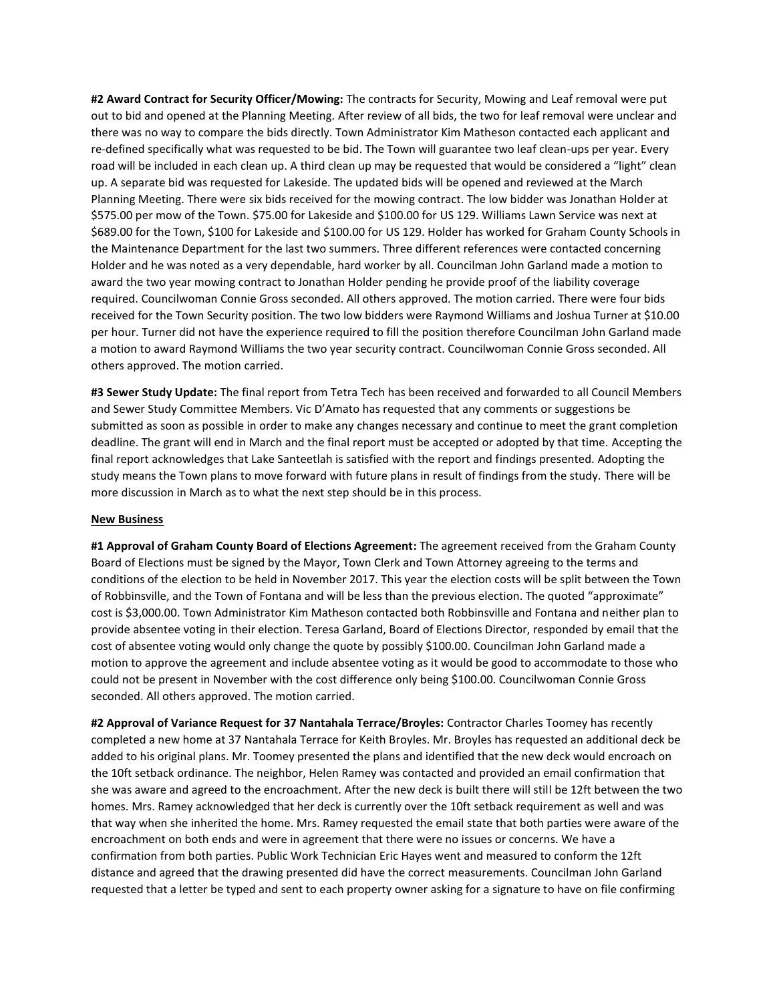**#2 Award Contract for Security Officer/Mowing:** The contracts for Security, Mowing and Leaf removal were put out to bid and opened at the Planning Meeting. After review of all bids, the two for leaf removal were unclear and there was no way to compare the bids directly. Town Administrator Kim Matheson contacted each applicant and re-defined specifically what was requested to be bid. The Town will guarantee two leaf clean-ups per year. Every road will be included in each clean up. A third clean up may be requested that would be considered a "light" clean up. A separate bid was requested for Lakeside. The updated bids will be opened and reviewed at the March Planning Meeting. There were six bids received for the mowing contract. The low bidder was Jonathan Holder at \$575.00 per mow of the Town. \$75.00 for Lakeside and \$100.00 for US 129. Williams Lawn Service was next at \$689.00 for the Town, \$100 for Lakeside and \$100.00 for US 129. Holder has worked for Graham County Schools in the Maintenance Department for the last two summers. Three different references were contacted concerning Holder and he was noted as a very dependable, hard worker by all. Councilman John Garland made a motion to award the two year mowing contract to Jonathan Holder pending he provide proof of the liability coverage required. Councilwoman Connie Gross seconded. All others approved. The motion carried. There were four bids received for the Town Security position. The two low bidders were Raymond Williams and Joshua Turner at \$10.00 per hour. Turner did not have the experience required to fill the position therefore Councilman John Garland made a motion to award Raymond Williams the two year security contract. Councilwoman Connie Gross seconded. All others approved. The motion carried.

**#3 Sewer Study Update:** The final report from Tetra Tech has been received and forwarded to all Council Members and Sewer Study Committee Members. Vic D'Amato has requested that any comments or suggestions be submitted as soon as possible in order to make any changes necessary and continue to meet the grant completion deadline. The grant will end in March and the final report must be accepted or adopted by that time. Accepting the final report acknowledges that Lake Santeetlah is satisfied with the report and findings presented. Adopting the study means the Town plans to move forward with future plans in result of findings from the study. There will be more discussion in March as to what the next step should be in this process.

#### **New Business**

**#1 Approval of Graham County Board of Elections Agreement:** The agreement received from the Graham County Board of Elections must be signed by the Mayor, Town Clerk and Town Attorney agreeing to the terms and conditions of the election to be held in November 2017. This year the election costs will be split between the Town of Robbinsville, and the Town of Fontana and will be less than the previous election. The quoted "approximate" cost is \$3,000.00. Town Administrator Kim Matheson contacted both Robbinsville and Fontana and neither plan to provide absentee voting in their election. Teresa Garland, Board of Elections Director, responded by email that the cost of absentee voting would only change the quote by possibly \$100.00. Councilman John Garland made a motion to approve the agreement and include absentee voting as it would be good to accommodate to those who could not be present in November with the cost difference only being \$100.00. Councilwoman Connie Gross seconded. All others approved. The motion carried.

**#2 Approval of Variance Request for 37 Nantahala Terrace/Broyles:** Contractor Charles Toomey has recently completed a new home at 37 Nantahala Terrace for Keith Broyles. Mr. Broyles has requested an additional deck be added to his original plans. Mr. Toomey presented the plans and identified that the new deck would encroach on the 10ft setback ordinance. The neighbor, Helen Ramey was contacted and provided an email confirmation that she was aware and agreed to the encroachment. After the new deck is built there will still be 12ft between the two homes. Mrs. Ramey acknowledged that her deck is currently over the 10ft setback requirement as well and was that way when she inherited the home. Mrs. Ramey requested the email state that both parties were aware of the encroachment on both ends and were in agreement that there were no issues or concerns. We have a confirmation from both parties. Public Work Technician Eric Hayes went and measured to conform the 12ft distance and agreed that the drawing presented did have the correct measurements. Councilman John Garland requested that a letter be typed and sent to each property owner asking for a signature to have on file confirming